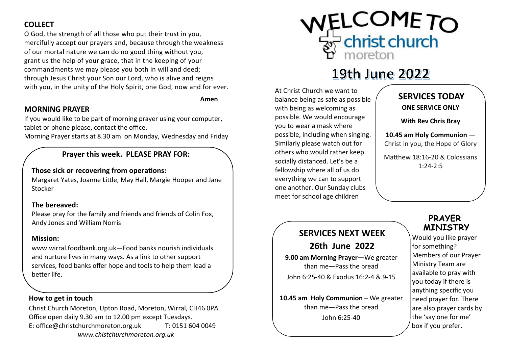#### **COLLECT**

 O God, the strength of all those who put their trust in you, mercifully accept our prayers and, because through the weakness of our mortal nature we can do no good thing without you, grant us the help of your grace, that in the keeping of your commandments we may please you both in will and deed; through Jesus Christ your Son our Lord, who is alive and reigns with you, in the unity of the Holy Spirit, one God, now and for ever.

Amen

#### MORNING PRAYER

If you would like to be part of morning prayer using your computer, tablet or phone please, contact the office.

Morning Prayer starts at 8.30 am on Monday, Wednesday and Friday

#### Prayer this week. PLEASE PRAY FOR:

#### Those sick or recovering from operations:

Margaret Yates, Joanne Little, May Hall, Margie Hooper and Jane Stocker

#### The bereaved:

Please pray for the family and friends and friends of Colin Fox, Andy Jones and William Norris

#### Mission:

www.wirral.foodbank.org.uk—Food banks nourish individuals and nurture lives in many ways. As a link to other support services, food banks offer hope and tools to help them lead a better life.

#### How to get in touch

Christ Church Moreton, Upton Road, Moreton, Wirral, CH46 0PA Office open daily 9.30 am to 12.00 pm except Tuesdays. E: office@christchurchmoreton.org.uk T: 0151 604 0049 www.chistchurchmoreton.org.uk



# 19th June 2022

At Christ Church we want to balance being as safe as possible with being as welcoming as possible. We would encourage you to wear a mask where possible, including when singing. Similarly please watch out for others who would rather keep socially distanced. Let's be a fellowship where all of us do everything we can to support one another. Our Sunday clubs meet for school age children

## SERVICES TODAY ONE SERVICE ONLY

With Rev Chris Bray

10.45 am Holy Communion —Christ in you, the Hope of Glory

Matthew 18:16-20 & Colossians 1:24-2:5

## SERVICES NEXT WEEK

26th June 2022

9.00 am Morning Prayer—We greater than me—Pass the bread John 6:25-40 & Exodus 16:2-4 & 9-15

10.45 am Holy Communion – We greater than me—Pass the bread John 6:25-40

### PRAYER MINISTRY

 Would you like prayer for something? Members of our Prayer Ministry Team are available to pray with you today if there is anything specific you need prayer for. There are also prayer cards by the 'say one for me' box if you prefer.